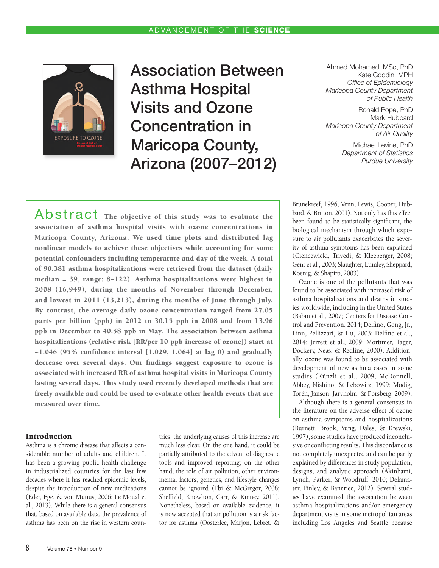**EXPOSURE TO OZONE** 

# Association Between Asthma Hospital Visits and Ozone Concentration in Maricopa County, Arizona (2007–2012)

Ahmed Mohamed, MSc, PhD Kate Goodin, MPH *Office of Epidemiology Maricopa County Department of Public Health*

Ronald Pope, PhD Mark Hubbard *Maricopa County Department of Air Quality*

> Michael Levine, PhD *Department of Statistics Purdue University*

Abstract The objective of this study was to evaluate the association of asthma hospital visits with ozone concentrations in Maricopa County, Arizona. We used time plots and distributed lag nonlinear models to achieve these objectives while accounting for some potential confounders including temperature and day of the week. A total of 90,381 asthma hospitalizations were retrieved from the dataset (daily median = 39, range: 8–122). Asthma hospitalizations were highest in 2008 (16,949), during the months of November through December, and lowest in 2011 (13,213), during the months of June through July. By contrast, the average daily ozone concentration ranged from 27.05 parts per billion (ppb) in 2012 to 30.15 ppb in 2008 and from 13.96 ppb in December to 40.58 ppb in May. The association between asthma hospitalizations (relative risk [RR/per 10 ppb increase of ozone]) start at  $\sim$ 1.046 (95% confidence interval [1.029, 1.064] at lag 0) and gradually decrease over several days. Our findings suggest exposure to ozone is associated with increased RR of asthma hospital visits in Maricopa County lasting several days. This study used recently developed methods that are freely available and could be used to evaluate other health events that are measured over time.

## Introduction

Asthma is a chronic disease that affects a considerable number of adults and children. It has been a growing public health challenge in industrialized countries for the last few decades where it has reached epidemic levels, despite the introduction of new medications (Eder, Ege, & von Mutius, 2006; Le Moual et al., 2013). While there is a general consensus that, based on available data, the prevalence of asthma has been on the rise in western countries, the underlying causes of this increase are much less clear. On the one hand, it could be partially attributed to the advent of diagnostic tools and improved reporting; on the other hand, the role of air pollution, other environmental factors, genetics, and lifestyle changes cannot be ignored (Ebi & McGregor, 2008; Sheffield, Knowlton, Carr, & Kinney, 2011). Nonetheless, based on available evidence, it is now accepted that air pollution is a risk factor for asthma (Oosterlee, Marjon, Lebret, & Brunekreef, 1996; Venn, Lewis, Cooper, Hubbard, & Britton, 2001). Not only has this effect been found to be statistically significant, the biological mechanism through which exposure to air pollutants exacerbates the severity of asthma symptoms has been explained (Ciencewicki, Trivedi, & Kleeberger, 2008; Gent et al., 2003; Slaughter, Lumley, Sheppard, Koenig, & Shapiro, 2003).

Ozone is one of the pollutants that was found to be associated with increased risk of asthma hospitalizations and deaths in studies worldwide, including in the United States (Babin et al., 2007; Centers for Disease Control and Prevention, 2014; Delfino, Gong, Jr., Linn, Pellizzari, & Hu, 2003; Delfino et al., 2014; Jerrett et al., 2009; Mortimer, Tager, Dockery, Neas, & Redline, 2000). Additionally, ozone was found to be associated with development of new asthma cases in some studies (Künzli et al., 2009; McDonnell, Abbey, Nishino, & Lebowitz, 1999; Modig, Torén, Janson, Jarvholm, & Forsberg, 2009).

Although there is a general consensus in the literature on the adverse effect of ozone on asthma symptoms and hospitalizations (Burnett, Brook, Yung, Dales, & Krewski, 1997), some studies have produced inconclusive or conflicting results. This discordance is not completely unexpected and can be partly explained by differences in study population, designs, and analytic approach (Akinbami, Lynch, Parker, & Woodruff, 2010; Delamater, Finley, & Banerjee, 2012). Several studies have examined the association between asthma hospitalizations and/or emergency department visits in some metropolitan areas including Los Angeles and Seattle because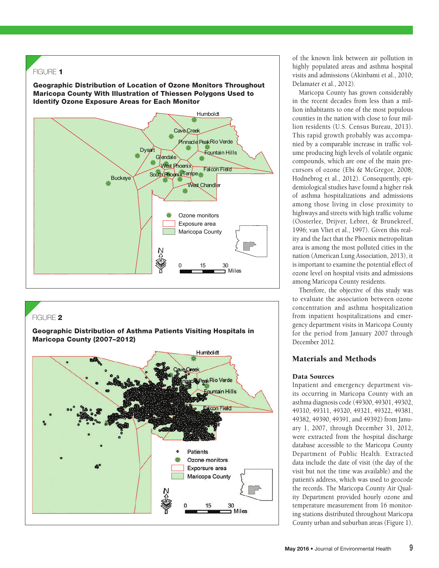

# FIGURE 2

Geographic Distribution of Asthma Patients Visiting Hospitals in Maricopa County (2007–2012)



of the known link between air pollution in highly populated areas and asthma hospital visits and admissions (Akinbami et al., 2010; Delamater et al., 2012).

Maricopa County has grown considerably in the recent decades from less than a million inhabitants to one of the most populous counties in the nation with close to four million residents (U.S. Census Bureau, 2013). This rapid growth probably was accompanied by a comparable increase in traffic volume producing high levels of volatile organic compounds, which are one of the main precursors of ozone (Ebi & McGregor, 2008; Hodnebrog et al., 2012). Consequently, epidemiological studies have found a higher risk of asthma hospitalizations and admissions among those living in close proximity to highways and streets with high traffic volume (Oosterlee, Drijver, Lebret, & Brunekreef, 1996; van Vliet et al., 1997). Given this reality and the fact that the Phoenix metropolitan area is among the most polluted cities in the nation (American Lung Association, 2013), it is important to examine the potential effect of ozone level on hospital visits and admissions among Maricopa County residents.

Therefore, the objective of this study was to evaluate the association between ozone concentration and asthma hospitalization from inpatient hospitalizations and emergency department visits in Maricopa County for the period from January 2007 through December 2012.

# Materials and Methods

## Data Sources

Inpatient and emergency department visits occurring in Maricopa County with an asthma diagnosis code (49300, 49301, 49302, 49310, 49311, 49320, 49321, 49322, 49381, 49382, 49390, 49391, and 49392) from January 1, 2007, through December 31, 2012, were extracted from the hospital discharge database accessible to the Maricopa County Department of Public Health. Extracted data include the date of visit (the day of the visit but not the time was available) and the patient's address, which was used to geocode the records. The Maricopa County Air Quality Department provided hourly ozone and temperature measurement from 16 monitoring stations distributed throughout Maricopa County urban and suburban areas (Figure 1).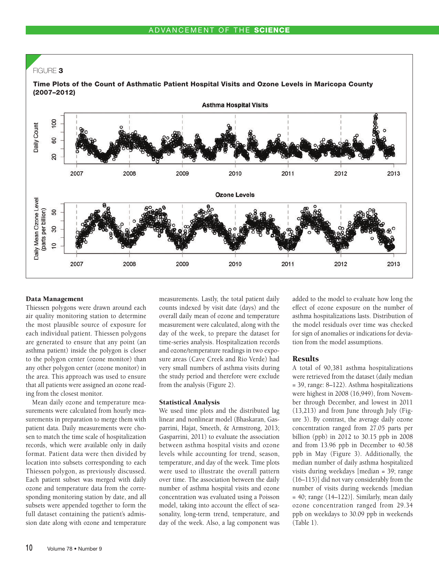

#### Data Management

Thiessen polygons were drawn around each air quality monitoring station to determine the most plausible source of exposure for each individual patient. Thiessen polygons are generated to ensure that any point (an asthma patient) inside the polygon is closer to the polygon center (ozone monitor) than any other polygon center (ozone monitor) in the area. This approach was used to ensure that all patients were assigned an ozone reading from the closest monitor.

Mean daily ozone and temperature measurements were calculated from hourly measurements in preparation to merge them with patient data. Daily measurements were chosen to match the time scale of hospitalization records, which were available only in daily format. Patient data were then divided by location into subsets corresponding to each Thiessen polygon, as previously discussed. Each patient subset was merged with daily ozone and temperature data from the corresponding monitoring station by date, and all subsets were appended together to form the full dataset containing the patient's admission date along with ozone and temperature

measurements. Lastly, the total patient daily counts indexed by visit date (days) and the overall daily mean of ozone and temperature measurement were calculated, along with the day of the week, to prepare the dataset for time-series analysis. Hospitalization records and ozone/temperature readings in two exposure areas (Cave Creek and Rio Verde) had very small numbers of asthma visits during the study period and therefore were exclude from the analysis (Figure 2).

#### Statistical Analysis

We used time plots and the distributed lag linear and nonlinear model (Bhaskaran, Gasparrini, Hajat, Smeeth, & Armstrong, 2013; Gasparrini, 2011) to evaluate the association between asthma hospital visits and ozone levels while accounting for trend, season, temperature, and day of the week. Time plots were used to illustrate the overall pattern over time. The association between the daily number of asthma hospital visits and ozone concentration was evaluated using a Poisson model, taking into account the effect of seasonality, long-term trend, temperature, and day of the week. Also, a lag component was added to the model to evaluate how long the effect of ozone exposure on the number of asthma hospitalizations lasts. Distribution of the model residuals over time was checked for sign of anomalies or indications for deviation from the model assumptions.

## **Results**

A total of 90,381 asthma hospitalizations were retrieved from the dataset (daily median = 39, range: 8–122). Asthma hospitalizations were highest in 2008 (16,949), from November through December, and lowest in 2011 (13,213) and from June through July (Figure 3). By contrast, the average daily ozone concentration ranged from 27.05 parts per billion (ppb) in 2012 to 30.15 ppb in 2008 and from 13.96 ppb in December to 40.58 ppb in May (Figure 3). Additionally, the median number of daily asthma hospitalized visits during weekdays [median = 39; range (16–115)] did not vary considerably from the number of visits during weekends [median = 40; range (14–122)]. Similarly, mean daily ozone concentration ranged from 29.34 ppb on weekdays to 30.09 ppb in weekends (Table 1).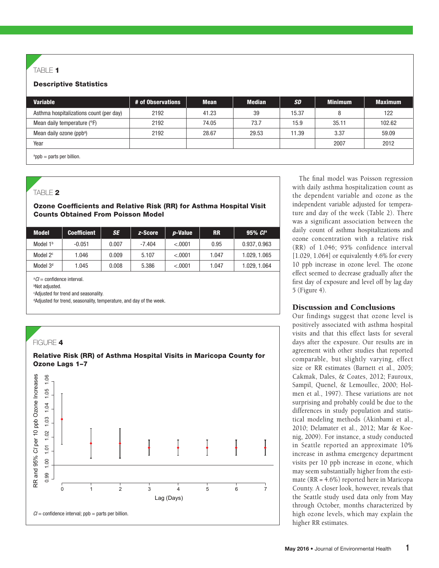# TABLE  $1$

## Descriptive Statistics

| <b>Variable</b>                         | # of Observations | <b>Mean</b> | <b>Median</b> | <b>SD</b> | <b>Minimum</b> | <b>Maximum</b> |
|-----------------------------------------|-------------------|-------------|---------------|-----------|----------------|----------------|
| Asthma hospitalizations count (per day) | 2192              | 41.23       | 39            | 15.37     | 8              | 122            |
| Mean daily temperature (°F)             | 2192              | 74.05       | 73.7          | 15.9      | 35.11          | 102.62         |
| Mean daily ozone (ppb <sup>a</sup> )    | 2192              | 28.67       | 29.53         | 11.39     | 3.37           | 59.09          |
| Year                                    |                   |             |               |           | 2007           | 2012           |
| saab waxbo nor billian                  |                   |             |               |           |                |                |

a ppb = parts per billion.

# TABLE 2

## Ozone Coefficients and Relative Risk (RR) for Asthma Hospital Visit Counts Obtained From Poisson Model

| <b>Model</b>         | <b>Coefficient</b> | SE    | z-Score  | <i>p</i> -Value | <b>RR</b> | $95\%$ $Cl^a$ |
|----------------------|--------------------|-------|----------|-----------------|-----------|---------------|
| Model $1b$           | $-0.051$           | 0.007 | $-7.404$ | < 0.001         | 0.95      | 0.937, 0.963  |
| Model 2 <sup>c</sup> | 1.046              | 0.009 | 5.107    | < .0001         | 1.047     | 1.029.1.065   |
| Model 3 <sup>d</sup> | 1.045              | 0.008 | 5.386    | < .0001         | 1.047     | 1.029, 1.064  |

a *CI* = confidence interval.

b Not adjusted.

c Adjusted for trend and seasonality.

<sup>d</sup>Adjusted for trend, seasonality, temperature, and day of the week.



The final model was Poisson regression with daily asthma hospitalization count as the dependent variable and ozone as the independent variable adjusted for temperature and day of the week (Table 2). There was a significant association between the daily count of asthma hospitalizations and ozone concentration with a relative risk (RR) of 1.046; 95% confidence interval [1.029, 1.064] or equivalently 4.6% for every 10 ppb increase in ozone level. The ozone effect seemed to decrease gradually after the first day of exposure and level off by lag day 5 (Figure 4).

## Discussion and Conclusions

Our findings suggest that ozone level is positively associated with asthma hospital visits and that this effect lasts for several days after the exposure. Our results are in agreement with other studies that reported comparable, but slightly varying, effect size or RR estimates (Barnett et al., 2005; Cakmak, Dales, & Coates, 2012; Fauroux, Sampil, Quenel, & Lemoullec, 2000; Holmen et al., 1997). These variations are not surprising and probably could be due to the differences in study population and statistical modeling methods (Akinbami et al., 2010; Delamater et al., 2012; Mar & Koenig, 2009). For instance, a study conducted in Seattle reported an approximate 10% increase in asthma emergency department visits per 10 ppb increase in ozone, which may seem substantially higher from the estimate (RR = 4.6%) reported here in Maricopa County. A closer look, however, reveals that the Seattle study used data only from May through October, months characterized by high ozone levels, which may explain the higher RR estimates.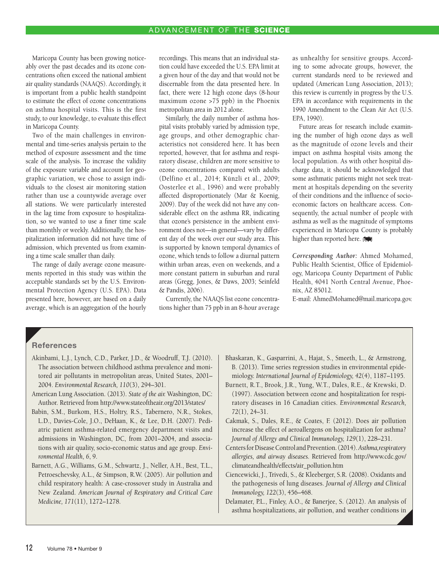Maricopa County has been growing noticeably over the past decades and its ozone concentrations often exceed the national ambient air quality standards (NAAQS). Accordingly, it is important from a public health standpoint to estimate the effect of ozone concentrations on asthma hospital visits. This is the first study, to our knowledge, to evaluate this effect in Maricopa County.

Two of the main challenges in environmental and time-series analysis pertain to the method of exposure assessment and the time scale of the analysis. To increase the validity of the exposure variable and account for geographic variation, we chose to assign individuals to the closest air monitoring station rather than use a countywide average over all stations. We were particularly interested in the lag time from exposure to hospitalization, so we wanted to use a finer time scale than monthly or weekly. Additionally, the hospitalization information did not have time of admission, which prevented us from examining a time scale smaller than daily.

The range of daily average ozone measurements reported in this study was within the acceptable standards set by the U.S. Environmental Protection Agency (U.S. EPA). Data presented here, however, are based on a daily average, which is an aggregation of the hourly

recordings. This means that an individual station could have exceeded the U.S. EPA limit at a given hour of the day and that would not be discernable from the data presented here. In fact, there were 12 high ozone days (8-hour maximum ozone >75 ppb) in the Phoenix metropolitan area in 2012 alone.

Similarly, the daily number of asthma hospital visits probably varied by admission type, age groups, and other demographic characteristics not considered here. It has been reported, however, that for asthma and respiratory disease, children are more sensitive to ozone concentrations compared with adults (Delfino et al., 2014; Künzli et al., 2009; Oosterlee et al., 1996) and were probably affected disproportionately (Mar & Koenig, 2009). Day of the week did not have any considerable effect on the asthma RR, indicating that ozone's persistence in the ambient environment does not—in general—vary by different day of the week over our study area. This is supported by known temporal dynamics of ozone, which tends to follow a diurnal pattern within urban areas, even on weekends, and a more constant pattern in suburban and rural areas (Gregg, Jones, & Daws, 2003; Seinfeld & Pandis, 2006).

Currently, the NAAQS list ozone concentrations higher than 75 ppb in an 8-hour average

as unhealthy for sensitive groups. According to some advocate groups, however, the current standards need to be reviewed and updated (American Lung Association, 2013); this review is currently in progress by the U.S. EPA in accordance with requirements in the 1990 Amendment to the Clean Air Act (U.S. EPA, 1990).

Future areas for research include examining the number of high ozone days as well as the magnitude of ozone levels and their impact on asthma hospital visits among the local population. As with other hospital discharge data, it should be acknowledged that some asthmatic patients might not seek treatment at hospitals depending on the severity of their conditions and the influence of socioeconomic factors on healthcare access. Consequently, the actual number of people with asthma as well as the magnitude of symptoms experienced in Maricopa County is probably higher than reported here.

*Corresponding Author:* Ahmed Mohamed, Public Health Scientist, Office of Epidemiology, Maricopa County Department of Public Health, 4041 North Central Avenue, Phoenix, AZ 85012.

E-mail: [AhmedMohamed@mail.maricopa.gov.](mailto:AhmedMohamed@mail.maricopa.gov)

## **References**

- Akinbami, L.J., Lynch, C.D., Parker, J.D., & Woodruff, T.J. (2010). The association between childhood asthma prevalence and monitored air pollutants in metropolitan areas, United States, 2001– 2004. *Environmental Research, 110*(3), 294–301.
- American Lung Association. (2013). *State of the air.* Washington, DC: [Author. Retrieved from http://www.stateoftheair.org/2013/states/](http://www.stateoftheair.org/2013/states/)
- Babin, S.M., Burkom, H.S., Holtry, R.S., Tabernero, N.R., Stokes, L.D., Davies-Cole, J.O., DeHaan, K., & Lee, D.H. (2007). Pediatric patient asthma-related emergency department visits and admissions in Washington, DC, from 2001–2004, and associations with air quality, socio-economic status and age group. *Environmental Health, 6*, 9.
- Barnett, A.G., Williams, G.M., Schwartz, J., Neller, A.H., Best, T.L., Petroeschevsky, A.L., & Simpson, R.W. (2005). Air pollution and child respiratory health: A case-crossover study in Australia and New Zealand. *American Journal of Respiratory and Critical Care Medicine, 171*(11), 1272–1278.
- Bhaskaran, K., Gasparrini, A., Hajat, S., Smeeth, L., & Armstrong, B. (2013). Time series regression studies in environmental epidemiology. *International Journal of Epidemiology, 42*(4), 1187–1195.
- Burnett, R.T., Brook, J.R., Yung, W.T., Dales, R.E., & Krewski, D. (1997). Association between ozone and hospitalization for respiratory diseases in 16 Canadian cities. *Environmental Research, 72*(1), 24–31.
- Cakmak, S., Dales, R.E., & Coates, F. (2012). Does air pollution increase the effect of aeroallergens on hospitalization for asthma? *Journal of Allergy and Clinical Immunology, 129*(1), 228–231.
- Centers for Disease Control and Prevention. (2014). *Asthma,respiratory allergies, and airway diseases.* Retrieved from http://www.cdc.gov/ [climateandhealth/effects/air\\_pollution.htm](http://www.cdc.gov/climateandhealth/effects/air_pollution.htm)
- Ciencewicki, J., Trivedi, S., & Kleeberger, S.R. (2008). Oxidants and the pathogenesis of lung diseases. *Journal of Allergy and Clinical Immunology, 122*(3), 456–468.
- Delamater, P.L., Finley, A.O., & Banerjee, S. (2012). An analysis of asthma hospitalizations, air pollution, and weather conditions in